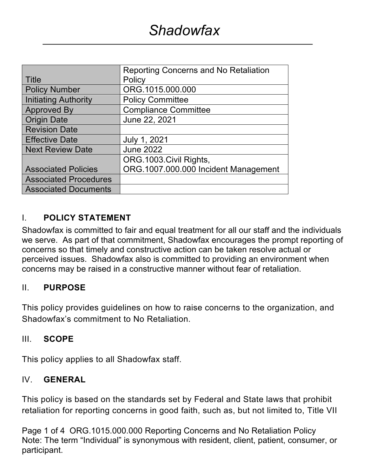|                              | <b>Reporting Concerns and No Retaliation</b> |  |  |
|------------------------------|----------------------------------------------|--|--|
| Title                        | Policy                                       |  |  |
| <b>Policy Number</b>         | ORG.1015.000.000                             |  |  |
| <b>Initiating Authority</b>  | <b>Policy Committee</b>                      |  |  |
| <b>Approved By</b>           | <b>Compliance Committee</b>                  |  |  |
| <b>Origin Date</b>           | June 22, 2021                                |  |  |
| <b>Revision Date</b>         |                                              |  |  |
| <b>Effective Date</b>        | July 1, 2021                                 |  |  |
| <b>Next Review Date</b>      | <b>June 2022</b>                             |  |  |
|                              | ORG.1003.Civil Rights,                       |  |  |
| <b>Associated Policies</b>   | ORG.1007.000.000 Incident Management         |  |  |
| <b>Associated Procedures</b> |                                              |  |  |
| <b>Associated Documents</b>  |                                              |  |  |

# I. **POLICY STATEMENT**

Shadowfax is committed to fair and equal treatment for all our staff and the individuals we serve. As part of that commitment, Shadowfax encourages the prompt reporting of concerns so that timely and constructive action can be taken resolve actual or perceived issues. Shadowfax also is committed to providing an environment when concerns may be raised in a constructive manner without fear of retaliation.

# II. **PURPOSE**

This policy provides guidelines on how to raise concerns to the organization, and Shadowfax's commitment to No Retaliation.

# III. **SCOPE**

This policy applies to all Shadowfax staff.

# IV. **GENERAL**

This policy is based on the standards set by Federal and State laws that prohibit retaliation for reporting concerns in good faith, such as, but not limited to, Title VII

Page 1 of 4 ORG.1015.000.000 Reporting Concerns and No Retaliation Policy Note: The term "Individual" is synonymous with resident, client, patient, consumer, or participant.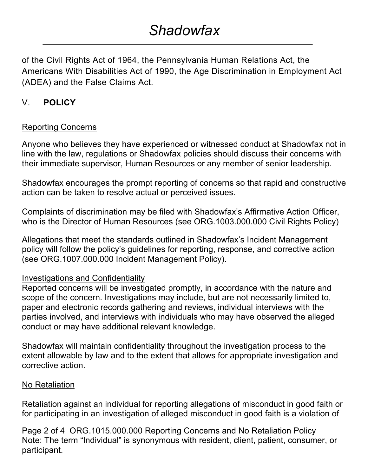# *Shadowfax*

of the Civil Rights Act of 1964, the Pennsylvania Human Relations Act, the Americans With Disabilities Act of 1990, the Age Discrimination in Employment Act (ADEA) and the False Claims Act.

# V. **POLICY**

# Reporting Concerns

Anyone who believes they have experienced or witnessed conduct at Shadowfax not in line with the law, regulations or Shadowfax policies should discuss their concerns with their immediate supervisor, Human Resources or any member of senior leadership.

Shadowfax encourages the prompt reporting of concerns so that rapid and constructive action can be taken to resolve actual or perceived issues.

Complaints of discrimination may be filed with Shadowfax's Affirmative Action Officer, who is the Director of Human Resources (see ORG.1003.000.000 Civil Rights Policy)

Allegations that meet the standards outlined in Shadowfax's Incident Management policy will follow the policy's guidelines for reporting, response, and corrective action (see ORG.1007.000.000 Incident Management Policy).

# Investigations and Confidentiality

Reported concerns will be investigated promptly, in accordance with the nature and scope of the concern. Investigations may include, but are not necessarily limited to, paper and electronic records gathering and reviews, individual interviews with the parties involved, and interviews with individuals who may have observed the alleged conduct or may have additional relevant knowledge.

Shadowfax will maintain confidentiality throughout the investigation process to the extent allowable by law and to the extent that allows for appropriate investigation and corrective action.

# No Retaliation

Retaliation against an individual for reporting allegations of misconduct in good faith or for participating in an investigation of alleged misconduct in good faith is a violation of

Page 2 of 4 ORG.1015.000.000 Reporting Concerns and No Retaliation Policy Note: The term "Individual" is synonymous with resident, client, patient, consumer, or participant.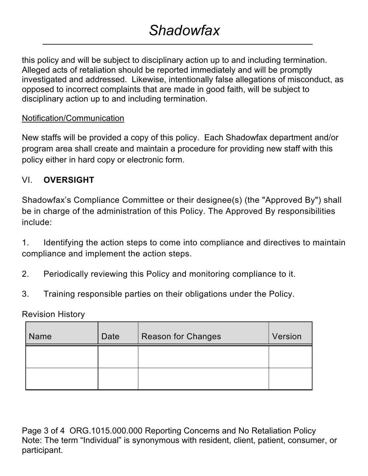this policy and will be subject to disciplinary action up to and including termination. Alleged acts of retaliation should be reported immediately and will be promptly investigated and addressed. Likewise, intentionally false allegations of misconduct, as opposed to incorrect complaints that are made in good faith, will be subject to disciplinary action up to and including termination.

# Notification/Communication

New staffs will be provided a copy of this policy. Each Shadowfax department and/or program area shall create and maintain a procedure for providing new staff with this policy either in hard copy or electronic form.

# VI. **OVERSIGHT**

Shadowfax's Compliance Committee or their designee(s) (the "Approved By") shall be in charge of the administration of this Policy. The Approved By responsibilities include:

1. Identifying the action steps to come into compliance and directives to maintain compliance and implement the action steps.

- 2. Periodically reviewing this Policy and monitoring compliance to it.
- 3. Training responsible parties on their obligations under the Policy.

Revision History

| <b>Name</b> | Date | <b>Reason for Changes</b> | Version |
|-------------|------|---------------------------|---------|
|             |      |                           |         |
|             |      |                           |         |

Page 3 of 4 ORG.1015.000.000 Reporting Concerns and No Retaliation Policy Note: The term "Individual" is synonymous with resident, client, patient, consumer, or participant.